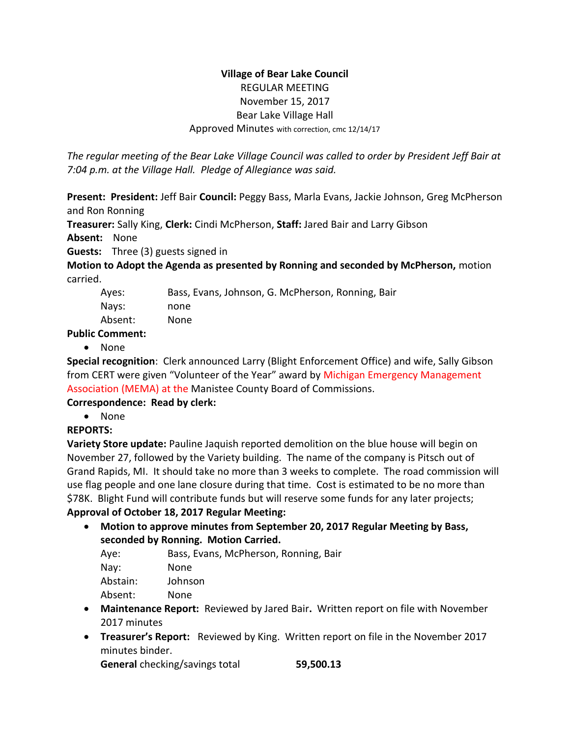## **Village of Bear Lake Council** REGULAR MEETING November 15, 2017 Bear Lake Village Hall Approved Minutes with correction, cmc 12/14/17

*The regular meeting of the Bear Lake Village Council was called to order by President Jeff Bair at 7:04 p.m. at the Village Hall. Pledge of Allegiance was said.*

**Present: President:** Jeff Bair **Council:** Peggy Bass, Marla Evans, Jackie Johnson, Greg McPherson and Ron Ronning

**Treasurer:** Sally King, **Clerk:** Cindi McPherson, **Staff:** Jared Bair and Larry Gibson

**Absent:** None

**Guests:** Three (3) guests signed in

**Motion to Adopt the Agenda as presented by Ronning and seconded by McPherson,** motion carried.

| Ayes:   | Bass, Evans, Johnson, G. McPherson, Ronning, Bair |
|---------|---------------------------------------------------|
| Navs:   | none                                              |
| Absent: | None                                              |
|         |                                                   |

**Public Comment:** 

• None

**Special recognition**: Clerk announced Larry (Blight Enforcement Office) and wife, Sally Gibson from CERT were given "Volunteer of the Year" award by Michigan Emergency Management Association (MEMA) at the Manistee County Board of Commissions.

# **Correspondence: Read by clerk:**

• None

# **REPORTS:**

**Variety Store update:** Pauline Jaquish reported demolition on the blue house will begin on November 27, followed by the Variety building. The name of the company is Pitsch out of Grand Rapids, MI. It should take no more than 3 weeks to complete. The road commission will use flag people and one lane closure during that time. Cost is estimated to be no more than \$78K. Blight Fund will contribute funds but will reserve some funds for any later projects;

# **Approval of October 18, 2017 Regular Meeting:**

 **Motion to approve minutes from September 20, 2017 Regular Meeting by Bass, seconded by Ronning. Motion Carried.**

| Bass, Evans, McPherson, Ronning, Bair |
|---------------------------------------|
| None                                  |
| Johnson                               |
| None                                  |
|                                       |

- **Maintenance Report:** Reviewed by Jared Bair**.** Written report on file with November 2017 minutes
- **Treasurer's Report:** Reviewed by King. Written report on file in the November 2017 minutes binder.

**General** checking/savings total **59,500.13**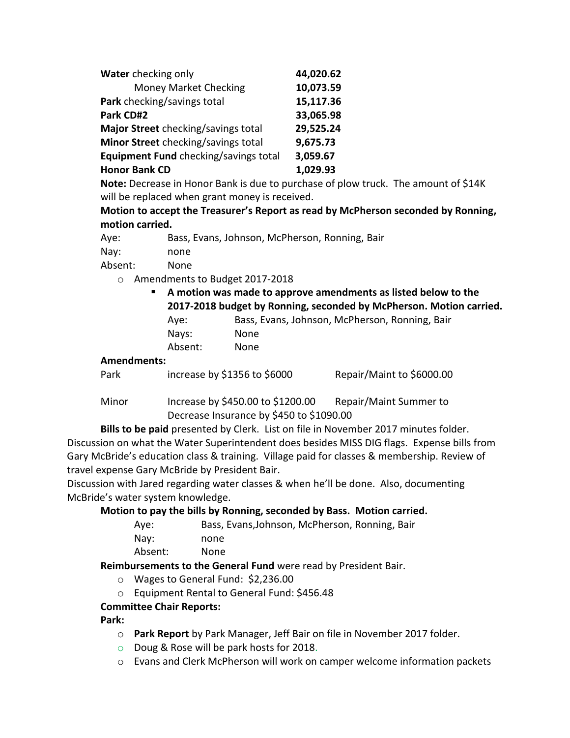| Water checking only                   | 44,020.62 |
|---------------------------------------|-----------|
| <b>Money Market Checking</b>          | 10,073.59 |
| Park checking/savings total           | 15,117.36 |
| Park CD#2                             | 33,065.98 |
| Major Street checking/savings total   | 29,525.24 |
| Minor Street checking/savings total   | 9,675.73  |
| Equipment Fund checking/savings total | 3,059.67  |
| <b>Honor Bank CD</b>                  | 1,029.93  |

**Note:** Decrease in Honor Bank is due to purchase of plow truck. The amount of \$14K will be replaced when grant money is received.

**Motion to accept the Treasurer's Report as read by McPherson seconded by Ronning, motion carried.**

| Aye: | Bass, Evans, Johnson, McPherson, Ronning, Bair |
|------|------------------------------------------------|
| Nay: | none                                           |

Absent: None

- o Amendments to Budget 2017-2018
	- **A motion was made to approve amendments as listed below to the 2017-2018 budget by Ronning, seconded by McPherson. Motion carried.** Aye: Bass, Evans, Johnson, McPherson, Ronning, Bair Nays: None Absent: None

#### **Amendments:**

|  | Park | increase by \$1356 to \$6000 | Repair/Maint to \$6000.00 |
|--|------|------------------------------|---------------------------|
|--|------|------------------------------|---------------------------|

Minor lncrease by \$450.00 to \$1200.00 Repair/Maint Summer to Decrease Insurance by \$450 to \$1090.00

**Bills to be paid** presented by Clerk. List on file in November 2017 minutes folder. Discussion on what the Water Superintendent does besides MISS DIG flags. Expense bills from Gary McBride's education class & training. Village paid for classes & membership. Review of travel expense Gary McBride by President Bair.

Discussion with Jared regarding water classes & when he'll be done. Also, documenting McBride's water system knowledge.

### **Motion to pay the bills by Ronning, seconded by Bass. Motion carried.**

| Ave:    | Bass, Evans, Johnson, McPherson, Ronning, Bair |
|---------|------------------------------------------------|
| Nay:    | none                                           |
| Absent: | None.                                          |

### **Reimbursements to the General Fund** were read by President Bair.

- o Wages to General Fund: \$2,236.00
- o Equipment Rental to General Fund: \$456.48

### **Committee Chair Reports:**

#### **Park:**

- o **Park Report** by Park Manager, Jeff Bair on file in November 2017 folder.
- o Doug & Rose will be park hosts for 2018.
- o Evans and Clerk McPherson will work on camper welcome information packets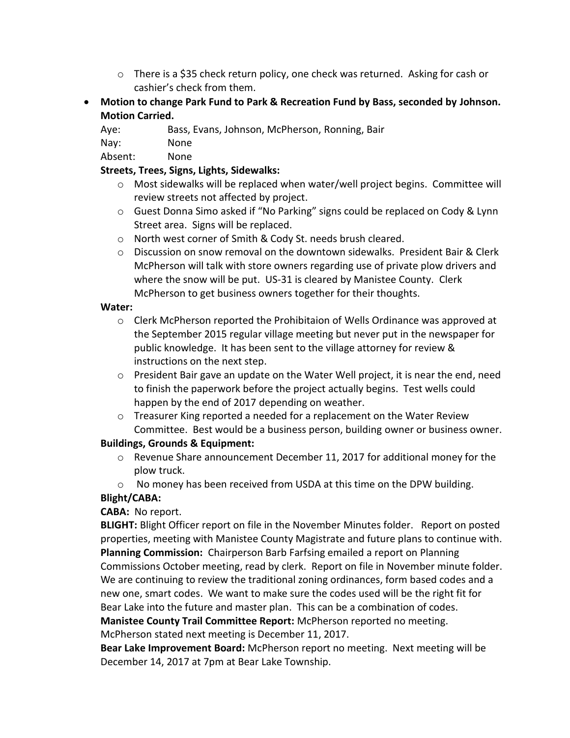- $\circ$  There is a \$35 check return policy, one check was returned. Asking for cash or cashier's check from them.
- **Motion to change Park Fund to Park & Recreation Fund by Bass, seconded by Johnson. Motion Carried.**

Aye: Bass, Evans, Johnson, McPherson, Ronning, Bair

Nay: None

Absent: None

### **Streets, Trees, Signs, Lights, Sidewalks:**

- o Most sidewalks will be replaced when water/well project begins. Committee will review streets not affected by project.
- o Guest Donna Simo asked if "No Parking" signs could be replaced on Cody & Lynn Street area. Signs will be replaced.
- o North west corner of Smith & Cody St. needs brush cleared.
- $\circ$  Discussion on snow removal on the downtown sidewalks. President Bair & Clerk McPherson will talk with store owners regarding use of private plow drivers and where the snow will be put. US-31 is cleared by Manistee County. Clerk McPherson to get business owners together for their thoughts.

#### **Water:**

- $\circ$  Clerk McPherson reported the Prohibitaion of Wells Ordinance was approved at the September 2015 regular village meeting but never put in the newspaper for public knowledge. It has been sent to the village attorney for review & instructions on the next step.
- $\circ$  President Bair gave an update on the Water Well project, it is near the end, need to finish the paperwork before the project actually begins. Test wells could happen by the end of 2017 depending on weather.
- $\circ$  Treasurer King reported a needed for a replacement on the Water Review Committee. Best would be a business person, building owner or business owner.

### **Buildings, Grounds & Equipment:**

- $\circ$  Revenue Share announcement December 11, 2017 for additional money for the plow truck.
- $\circ$  No money has been received from USDA at this time on the DPW building.

### **Blight/CABA:**

### **CABA:** No report.

**BLIGHT:** Blight Officer report on file in the November Minutes folder. Report on posted properties, meeting with Manistee County Magistrate and future plans to continue with. **Planning Commission:** Chairperson Barb Farfsing emailed a report on Planning Commissions October meeting, read by clerk. Report on file in November minute folder. We are continuing to review the traditional zoning ordinances, form based codes and a new one, smart codes. We want to make sure the codes used will be the right fit for Bear Lake into the future and master plan. This can be a combination of codes.

**Manistee County Trail Committee Report:** McPherson reported no meeting. McPherson stated next meeting is December 11, 2017.

**Bear Lake Improvement Board:** McPherson report no meeting. Next meeting will be December 14, 2017 at 7pm at Bear Lake Township.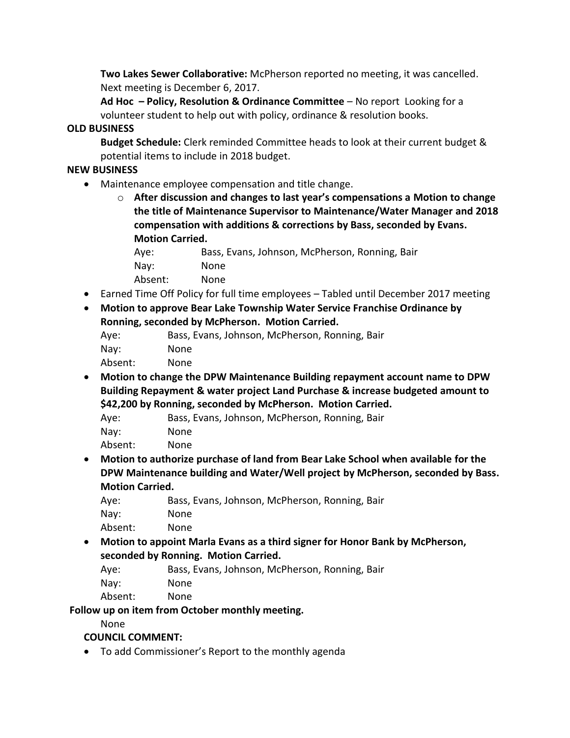**Two Lakes Sewer Collaborative:** McPherson reported no meeting, it was cancelled. Next meeting is December 6, 2017.

**Ad Hoc – Policy, Resolution & Ordinance Committee** – No report Looking for a volunteer student to help out with policy, ordinance & resolution books.

### **OLD BUSINESS**

**Budget Schedule:** Clerk reminded Committee heads to look at their current budget & potential items to include in 2018 budget.

## **NEW BUSINESS**

Maintenance employee compensation and title change.

o **After discussion and changes to last year's compensations a Motion to change the title of Maintenance Supervisor to Maintenance/Water Manager and 2018 compensation with additions & corrections by Bass, seconded by Evans. Motion Carried.**

| Aye:    | Bass, Evans, Johnson, McPherson, Ronning, Bair |
|---------|------------------------------------------------|
| Nay:    | None                                           |
| Absent: | None                                           |

- Earned Time Off Policy for full time employees Tabled until December 2017 meeting
- **Motion to approve Bear Lake Township Water Service Franchise Ordinance by Ronning, seconded by McPherson. Motion Carried.**

| Ave:    | Bass, Evans, Johnson, McPherson, Ronning, Bair |
|---------|------------------------------------------------|
| Nav:    | None.                                          |
| Absent: | None                                           |

- **Motion to change the DPW Maintenance Building repayment account name to DPW Building Repayment & water project Land Purchase & increase budgeted amount to \$42,200 by Ronning, seconded by McPherson. Motion Carried.**
	- Aye: Bass, Evans, Johnson, McPherson, Ronning, Bair

Nay: None

Absent: None

 **Motion to authorize purchase of land from Bear Lake School when available for the DPW Maintenance building and Water/Well project by McPherson, seconded by Bass. Motion Carried.**

| Aye:    | Bass, Evans, Johnson, McPherson, Ronning, Bair |
|---------|------------------------------------------------|
| Nay:    | None.                                          |
| Absent: | None.                                          |

 **Motion to appoint Marla Evans as a third signer for Honor Bank by McPherson, seconded by Ronning. Motion Carried.**

Aye: Bass, Evans, Johnson, McPherson, Ronning, Bair Nay: None Absent: None

# **Follow up on item from October monthly meeting.**

None

# **COUNCIL COMMENT:**

To add Commissioner's Report to the monthly agenda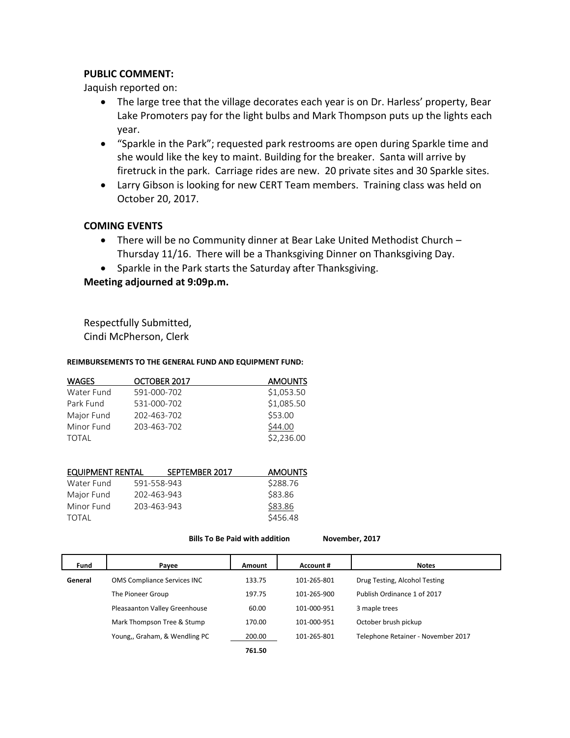#### **PUBLIC COMMENT:**

Jaquish reported on:

- The large tree that the village decorates each year is on Dr. Harless' property, Bear Lake Promoters pay for the light bulbs and Mark Thompson puts up the lights each year.
- "Sparkle in the Park"; requested park restrooms are open during Sparkle time and she would like the key to maint. Building for the breaker. Santa will arrive by firetruck in the park. Carriage rides are new. 20 private sites and 30 Sparkle sites.
- Larry Gibson is looking for new CERT Team members. Training class was held on October 20, 2017.

#### **COMING EVENTS**

- There will be no Community dinner at Bear Lake United Methodist Church Thursday 11/16. There will be a Thanksgiving Dinner on Thanksgiving Day.
- Sparkle in the Park starts the Saturday after Thanksgiving.

#### **Meeting adjourned at 9:09p.m.**

Respectfully Submitted, Cindi McPherson, Clerk

#### **REIMBURSEMENTS TO THE GENERAL FUND AND EQUIPMENT FUND:**

| <b>WAGES</b> | OCTOBER 2017 | <b>AMOUNTS</b> |
|--------------|--------------|----------------|
| Water Fund   | 591-000-702  | \$1,053.50     |
| Park Fund    | 531-000-702  | \$1,085.50     |
| Major Fund   | 202-463-702  | \$53.00        |
| Minor Fund   | 203-463-702  | \$44.00        |
| TOTAL        |              | \$2,236.00     |

| EQUIPMENT RENTAL | SEPTEMBER 2017 | <b>AMOUNTS</b> |
|------------------|----------------|----------------|
| Water Fund       | 591-558-943    | \$288.76       |
| Major Fund       | 202-463-943    | \$83.86        |
| Minor Fund       | 203-463-943    | \$83.86        |
| TOTAL            |                | \$456.48       |

**Bills To Be Paid with addition November, 2017**

| Fund    | Payee                         | Amount | Account #   | <b>Notes</b>                       |
|---------|-------------------------------|--------|-------------|------------------------------------|
| General | OMS Compliance Services INC   | 133.75 | 101-265-801 | Drug Testing, Alcohol Testing      |
|         | The Pioneer Group             | 197.75 | 101-265-900 | Publish Ordinance 1 of 2017        |
|         | Pleasaanton Valley Greenhouse | 60.00  | 101-000-951 | 3 maple trees                      |
|         | Mark Thompson Tree & Stump    | 170.00 | 101-000-951 | October brush pickup               |
|         | Young,, Graham, & Wendling PC | 200.00 | 101-265-801 | Telephone Retainer - November 2017 |
|         |                               | 761.50 |             |                                    |